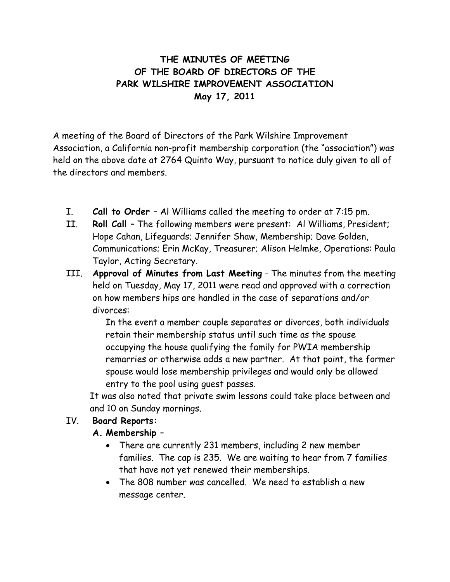# **THE MINUTES OF MEETING OF THE BOARD OF DIRECTORS OF THE PARK WILSHIRE IMPROVEMENT ASSOCIATION May 17, 2011**

A meeting of the Board of Directors of the Park Wilshire Improvement Association, a California non-profit membership corporation (the "association") was held on the above date at 2764 Quinto Way, pursuant to notice duly given to all of the directors and members.

- I. **Call to Order**  Al Williams called the meeting to order at 7:15 pm.
- II. **Roll Call** The following members were present: Al Williams, President; Hope Cahan, Lifeguards; Jennifer Shaw, Membership; Dave Golden, Communications; Erin McKay, Treasurer; Alison Helmke, Operations: Paula Taylor, Acting Secretary.
- III. **Approval of Minutes from Last Meeting** The minutes from the meeting held on Tuesday, May 17, 2011 were read and approved with a correction on how members hips are handled in the case of separations and/or divorces:

In the event a member couple separates or divorces, both individuals retain their membership status until such time as the spouse occupying the house qualifying the family for PWIA membership remarries or otherwise adds a new partner. At that point, the former spouse would lose membership privileges and would only be allowed entry to the pool using guest passes.

 It was also noted that private swim lessons could take place between and and 10 on Sunday mornings.

## **:** IV. **Board Reports**

## **A. Membership –**

- There are currently 231 members, including 2 new member families. The cap is 235. We are waiting to hear from 7 families that have not yet renewed their memberships.
- The 808 number was cancelled. We need to establish a new message center.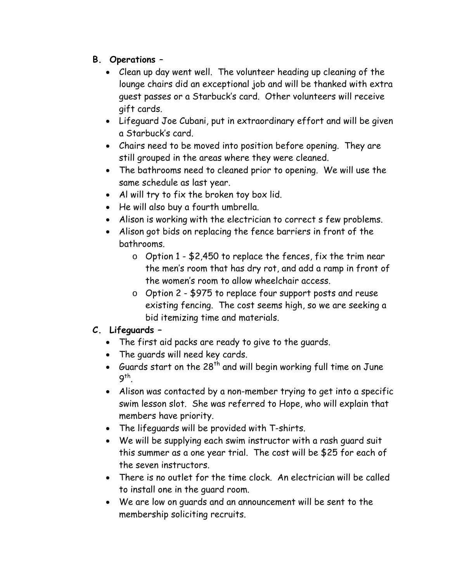# **B. Operations** –

- Clean up day went well. The volunteer heading up cleaning of the lounge chairs did an exceptional job and will be thanked with extra guest passes or a Starbuck's card. Other volunteers will receive gift cards.
- Lifeguard Joe Cubani, put in extraordinary effort and will be given a Starbuck's card.
- Chairs need to be moved into position before opening. They are still grouped in the areas where they were cleaned.
- The bathrooms need to cleaned prior to opening. We will use the same schedule as last year.
- Al will try to fix the broken toy box lid.
- He will also buy a fourth umbrella.
- Alison is working with the electrician to correct s few problems.
- Alison got bids on replacing the fence barriers in front of the bathrooms.
	- o Option 1 \$2,450 to replace the fences, fix the trim near the men's room that has dry rot, and add a ramp in front of the women's room to allow wheelchair access.
	- o Option 2 \$975 to replace four support posts and reuse existing fencing. The cost seems high, so we are seeking a bid itemizing time and materials.

## **C. Lifeguards –**

- The first aid packs are ready to give to the guards.
- The guards will need key cards.
- Guards start on the  $28^{th}$  and will begin working full time on June 9th.
- Alison was contacted by a non-member trying to get into a specific swim lesson slot. She was referred to Hope, who will explain that members have priority.
- The lifeguards will be provided with T-shirts.
- We will be supplying each swim instructor with a rash guard suit this summer as a one year trial. The cost will be \$25 for each of the seven instructors.
- There is no outlet for the time clock. An electrician will be called to install one in the guard room.
- We are low on guards and an announcement will be sent to the membership soliciting recruits.